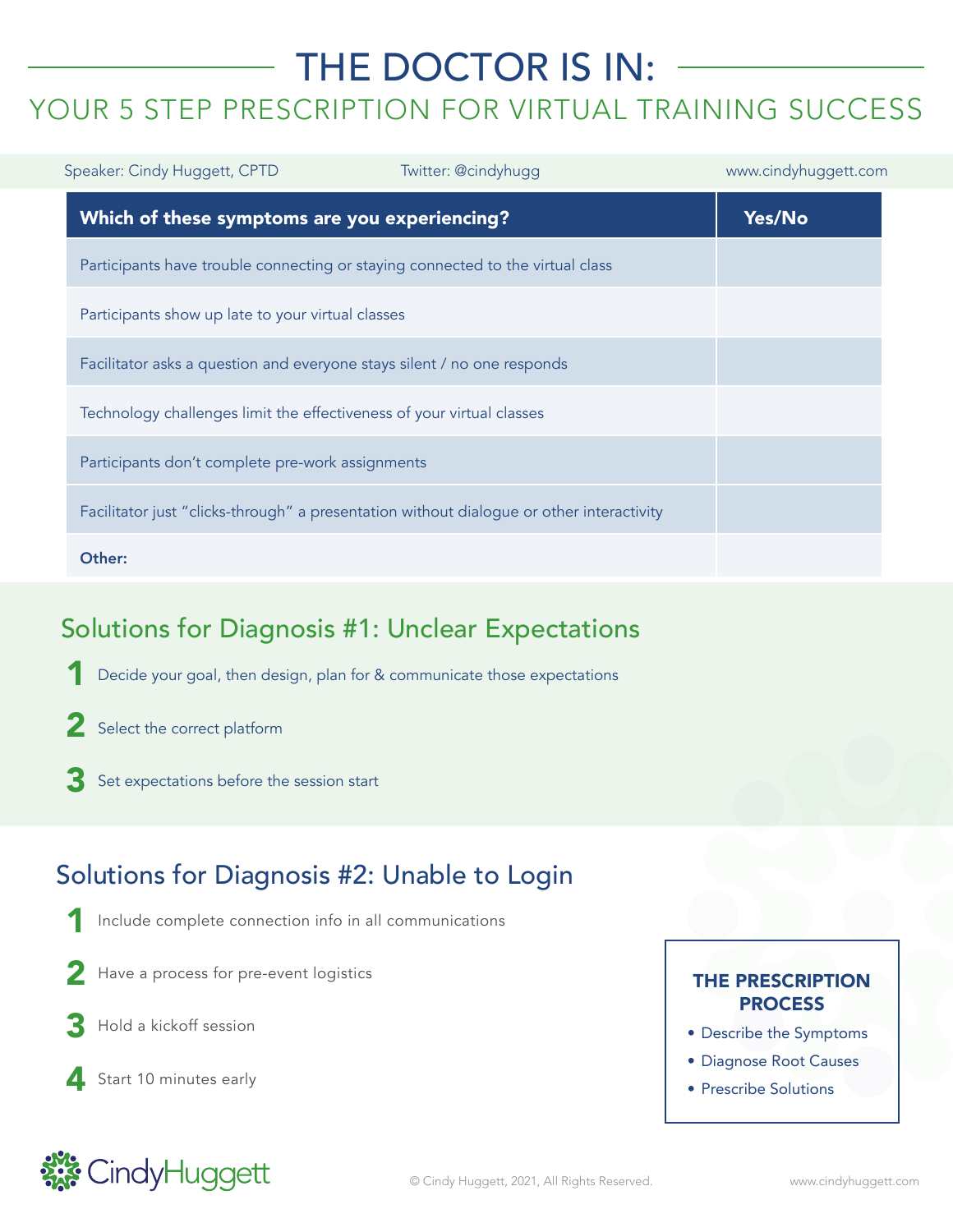# THE DOCTOR IS IN: YOUR 5 STEP PRESCRIPTION FOR VIRTUAL TRAINING SUCCESS

| Speaker: Cindy Huggett, CPTD                                                             | Twitter: @cindyhugg | www.cindyhuggett.com |
|------------------------------------------------------------------------------------------|---------------------|----------------------|
| Which of these symptoms are you experiencing?                                            |                     | Yes/No               |
| Participants have trouble connecting or staying connected to the virtual class           |                     |                      |
| Participants show up late to your virtual classes                                        |                     |                      |
| Facilitator asks a question and everyone stays silent / no one responds                  |                     |                      |
| Technology challenges limit the effectiveness of your virtual classes                    |                     |                      |
| Participants don't complete pre-work assignments                                         |                     |                      |
| Facilitator just "clicks-through" a presentation without dialogue or other interactivity |                     |                      |
| Other:                                                                                   |                     |                      |

## Solutions for Diagnosis #1: Unclear Expectations

Decide your goal, then design, plan for & communicate those expectations 1

- 2 Select the correct platform
- Set expectations before the session start 3

#### Solutions for Diagnosis #2: Unable to Login

- Include complete connection info in all communications 1
- Have a process for pre-event logistics 2
- Hold a kickoff session 3
- 4 Start 10 minutes early

#### THE PRESCRIPTION **PROCESS**

- Describe the Symptoms
- Diagnose Root Causes
- Prescribe Solutions

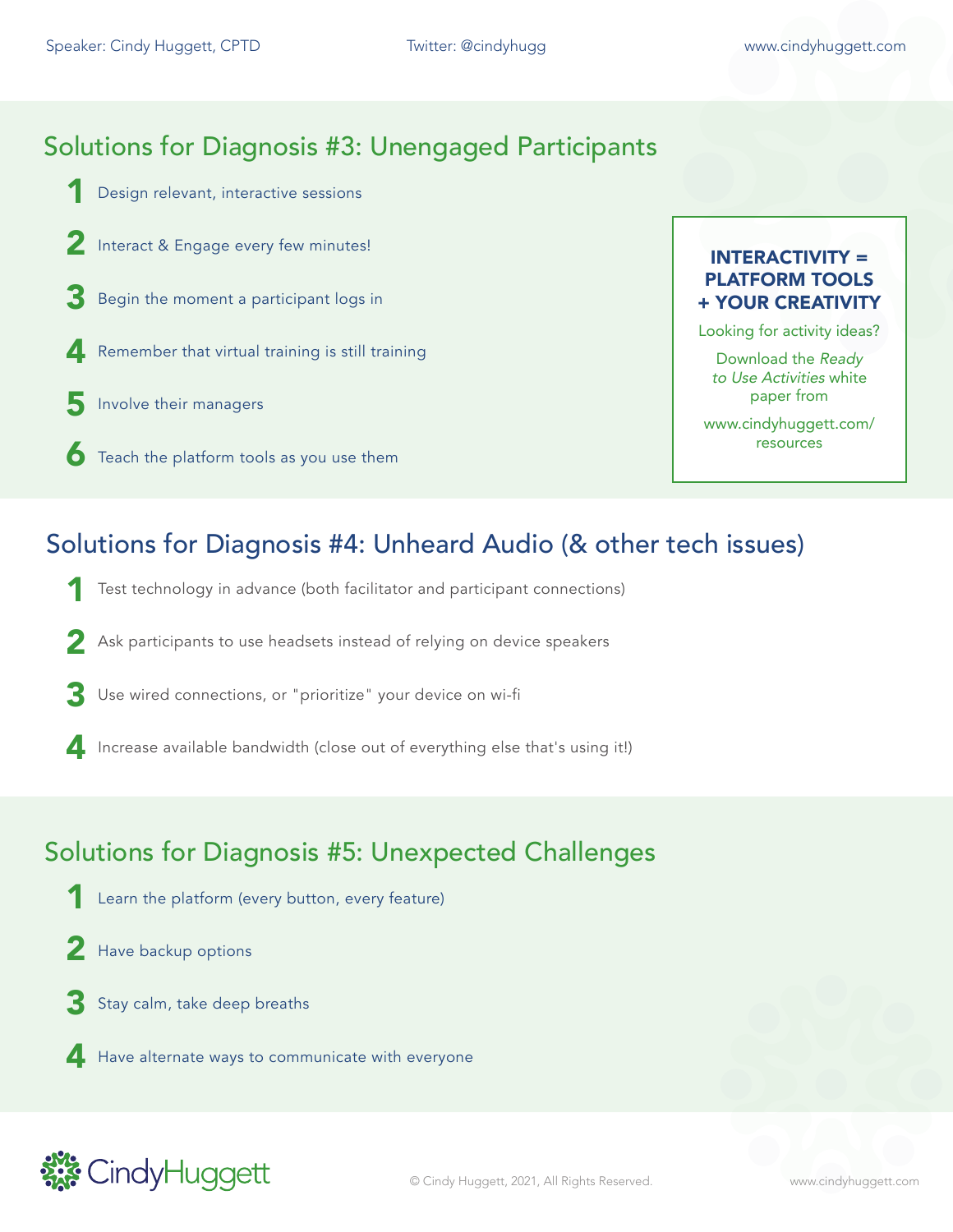### Solutions for Diagnosis #3: Unengaged Participants

- Design relevant, interactive sessions 1
- 2 Interact & Engage every few minutes!
- **3** Begin the moment a participant logs in
- **4** Remember that virtual training is still training
- Involve their managers 5
- $\bullet$  Teach the platform tools as you use them

#### INTERACTIVITY = PLATFORM TOOLS + YOUR CREATIVITY

Looking for activity ideas?

Download the Ready to Use Activities white paper from

www.cindyhuggett.com/ resources

### Solutions for Diagnosis #4: Unheard Audio (& other tech issues)

- Test technology in advance (both facilitator and participant connections) 1
- 2 Ask participants to use headsets instead of relying on device speakers
- Use wired connections, or "prioritize" your device on wi-fi 3
- Increase available bandwidth (close out of everything else that's using it!)

#### Solutions for Diagnosis #5: Unexpected Challenges

- Learn the platform (every button, every feature) 1
- 2 Have backup options
- Stay calm, take deep breaths 3
- Have alternate ways to communicate with everyone

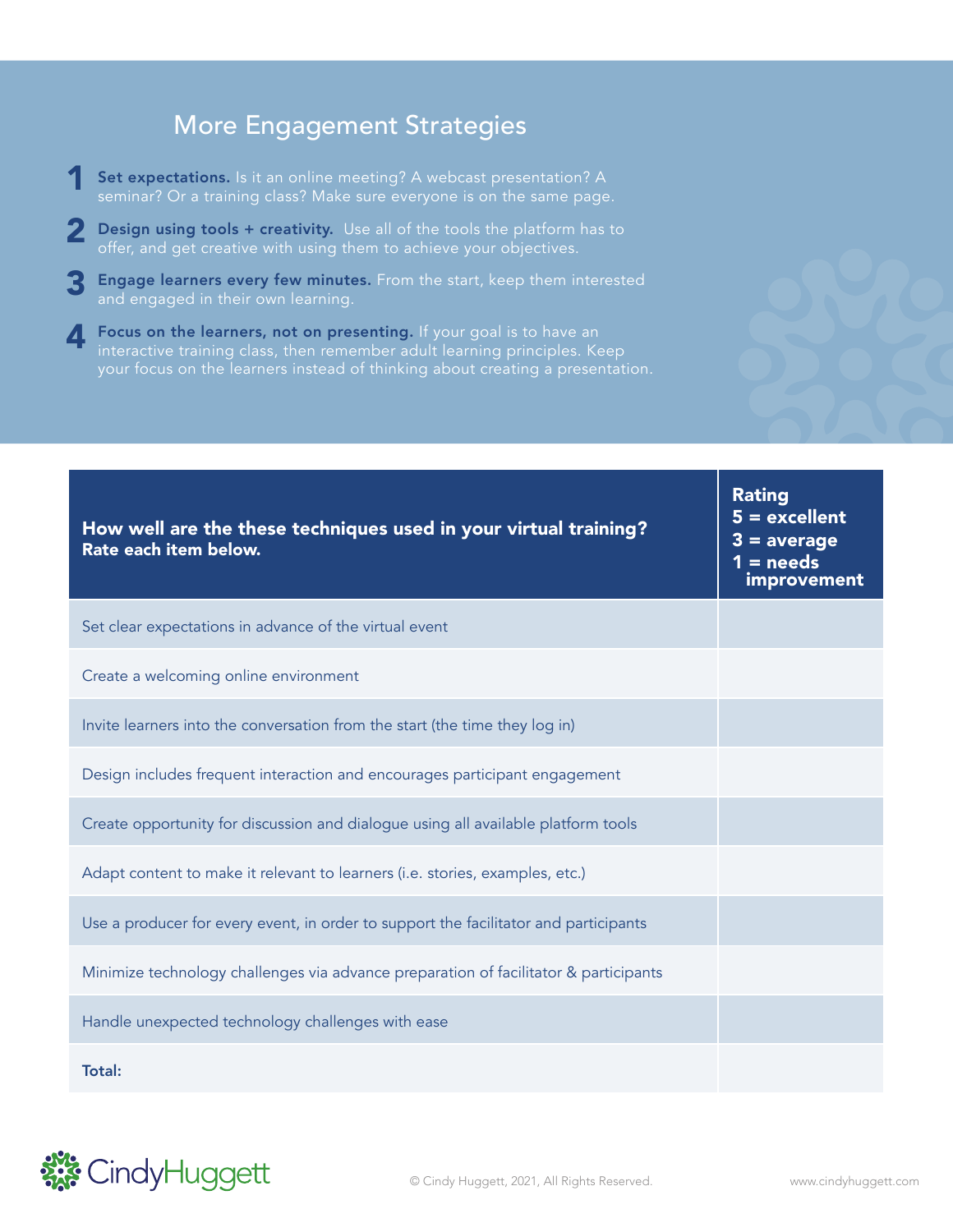#### More Engagement Strategies

- Set expectations. Is it an online meeting? A webcast presentation? A seminar? Or a training class? Make sure everyone is on the same page. 1
- **2** Design using tools + creativity. Use all of the tools the platform has to offer, and get creative with using them to achieve your objectives. offer, and get creative with using them to achieve your objectives.
- **3** Engage learners every few minutes. From the start, keep them interested and engaged in their own learning. and engaged in their own learning.
- **Focus on the learners, not on presenting.** If your goal is to have an interactive training class, then remember adult learning principles. Ke interactive training class, then remember adult learning principles. Keep your focus on the learners instead of thinking about creating a presentation.

| How well are the these techniques used in your virtual training?<br>Rate each item below. | <u></u><br>$5 =$ excellent<br>$3 = average$<br>$1 = needs$<br>improvement |
|-------------------------------------------------------------------------------------------|---------------------------------------------------------------------------|
| Set clear expectations in advance of the virtual event                                    |                                                                           |
| Create a welcoming online environment                                                     |                                                                           |
| Invite learners into the conversation from the start (the time they log in)               |                                                                           |
| Design includes frequent interaction and encourages participant engagement                |                                                                           |
| Create opportunity for discussion and dialogue using all available platform tools         |                                                                           |
| Adapt content to make it relevant to learners (i.e. stories, examples, etc.)              |                                                                           |
| Use a producer for every event, in order to support the facilitator and participants      |                                                                           |
| Minimize technology challenges via advance preparation of facilitator & participants      |                                                                           |
| Handle unexpected technology challenges with ease                                         |                                                                           |
| <b>Total:</b>                                                                             |                                                                           |



Rating